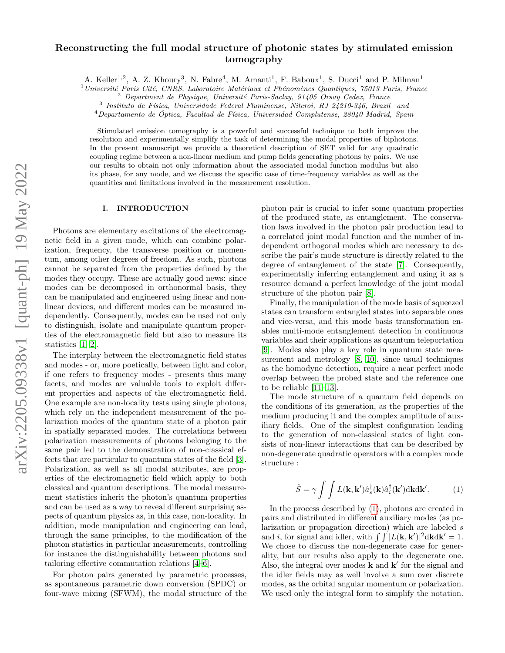# Reconstructing the full modal structure of photonic states by stimulated emission tomography

A. Keller<sup>1,2</sup>, A. Z. Khoury<sup>3</sup>, N. Fabre<sup>4</sup>, M. Amanti<sup>1</sup>, F. Baboux<sup>1</sup>, S. Ducci<sup>1</sup> and P. Milman<sup>1</sup>

 $1$ Université Paris Cité, CNRS, Laboratoire Matériaux et Phénomènes Quantiques, 75013 Paris, France

 $2$  Department de Physique, Université Paris-Saclay, 91405 Orsay Cedex, France

 $3$  Instituto de Física, Universidade Federal Fluminense, Niteroi, RJ 24210-346, Brazil and

 $4$ Departamento de Óptica, Facultad de Física, Universidad Complutense, 28040 Madrid, Spain

Stimulated emission tomography is a powerful and successful technique to both improve the resolution and experimentally simplify the task of determining the modal properties of biphotons. In the present manuscript we provide a theoretical description of SET valid for any quadratic coupling regime between a non-linear medium and pump fields generating photons by pairs. We use our results to obtain not only information about the associated modal function modulus but also its phase, for any mode, and we discuss the specific case of time-frequency variables as well as the quantities and limitations involved in the measurement resolution.

### I. INTRODUCTION

Photons are elementary excitations of the electromagnetic field in a given mode, which can combine polarization, frequency, the transverse position or momentum, among other degrees of freedom. As such, photons cannot be separated from the properties defined by the modes they occupy. These are actually good news: since modes can be decomposed in orthonormal basis, they can be manipulated and engineered using linear and nonlinear devices, and different modes can be measured independently. Consequently, modes can be used not only to distinguish, isolate and manipulate quantum properties of the electromagnetic field but also to measure its statistics [\[1,](#page-5-0) [2\]](#page-5-1).

The interplay between the electromagnetic field states and modes - or, more poetically, between light and color, if one refers to frequency modes - presents thus many facets, and modes are valuable tools to exploit different properties and aspects of the electromagnetic field. One example are non-locality tests using single photons, which rely on the independent measurement of the polarization modes of the quantum state of a photon pair in spatially separated modes. The correlations between polarization measurements of photons belonging to the same pair led to the demonstration of non-classical effects that are particular to quantum states of the field [\[3\]](#page-5-2). Polarization, as well as all modal attributes, are properties of the electromagnetic field which apply to both classical and quantum descriptions. The modal measurement statistics inherit the photon's quantum properties and can be used as a way to reveal different surprising aspects of quantum physics as, in this case, non-locality. In addition, mode manipulation and engineering can lead, through the same principles, to the modification of the photon statistics in particular measurements, controlling for instance the distinguishability between photons and tailoring effective commutation relations [\[4–](#page-6-0)[6\]](#page-6-1).

For photon pairs generated by parametric processes, as spontaneous parametric down conversion (SPDC) or four-wave mixing (SFWM), the modal structure of the photon pair is crucial to infer some quantum properties of the produced state, as entanglement. The conservation laws involved in the photon pair production lead to a correlated joint modal function and the number of independent orthogonal modes which are necessary to describe the pair's mode structure is directly related to the degree of entanglement of the state [\[7\]](#page-6-2). Consequently, experimentally inferring entanglement and using it as a resource demand a perfect knowledge of the joint modal structure of the photon pair [\[8\]](#page-6-3).

Finally, the manipulation of the mode basis of squeezed states can transform entangled states into separable ones and vice-versa, and this mode basis transformation enables multi-mode entanglement detection in continuous variables and their applications as quantum teleportation [\[9\]](#page-6-4). Modes also play a key role in quantum state mea-surement and metrology [\[8,](#page-6-3) [10\]](#page-6-5), since usual techniques as the homodyne detection, require a near perfect mode overlap between the probed state and the reference one to be reliable [\[11](#page-6-6)[–13\]](#page-6-7).

The mode structure of a quantum field depends on the conditions of its generation, as the properties of the medium producing it and the complex amplitude of auxiliary fields. One of the simplest configuration leading to the generation of non-classical states of light consists of non-linear interactions that can be described by non-degenerate quadratic operators with a complex mode structure :

<span id="page-0-0"></span>
$$
\hat{S} = \gamma \int \int L(\mathbf{k}, \mathbf{k}') \hat{a}_s^{\dagger}(\mathbf{k}) \hat{a}_i^{\dagger}(\mathbf{k}') d\mathbf{k} d\mathbf{k}'. \tag{1}
$$

In the process described by [\(1\)](#page-0-0), photons are created in pairs and distributed in different auxiliary modes (as polarization or propagation direction) which are labeled s and *i*, for signal and idler, with  $\int \int |L(\mathbf{k}, \mathbf{k}')|^2 d\mathbf{k} d\mathbf{k}' = 1$ . We chose to discuss the non-degenerate case for generality, but our results also apply to the degenerate one. Also, the integral over modes  $\bf{k}$  and  $\bf{k}'$  for the signal and the idler fields may as well involve a sum over discrete modes, as the orbital angular momentum or polarization. We used only the integral form to simplify the notation.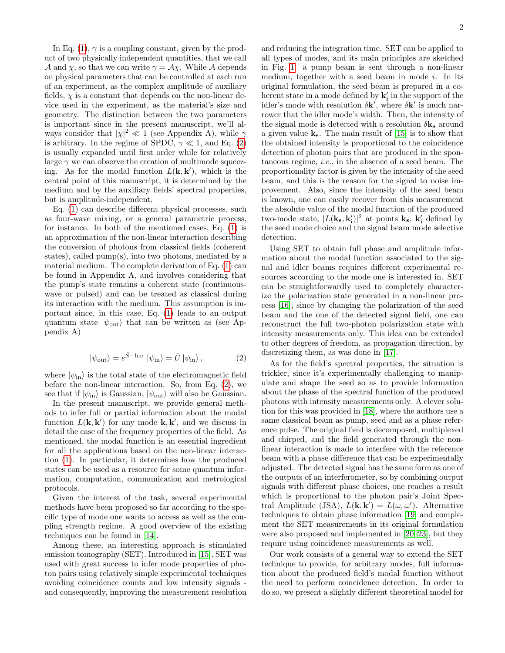In Eq. [\(1\)](#page-0-0),  $\gamma$  is a coupling constant, given by the product of two physically independent quantities, that we call A and  $\chi$ , so that we can write  $\gamma = \mathcal{A}\chi$ . While A depends on physical parameters that can be controlled at each run of an experiment, as the complex amplitude of auxiliary fields,  $\chi$  is a constant that depends on the non-linear device used in the experiment, as the material's size and geometry. The distinction between the two parameters is important since in the present manuscript, we'll always consider that  $|\chi|^2 \ll 1$  (see Appendix A), while  $\gamma$ is arbitrary. In the regime of SPDC,  $\gamma \ll 1$ , and Eq. [\(2\)](#page-1-0) is usually expanded until first order while for relatively large  $\gamma$  we can observe the creation of multimode squeezing. As for the modal function  $L(\mathbf{k}, \mathbf{k}')$ , which is the central point of this manuscript, it is determined by the medium and by the auxiliary fields' spectral properties, but is amplitude-independent.

Eq. [\(1\)](#page-0-0) can describe different physical processes, such as four-wave mixing, or a general parametric process, for instance. In both of the mentioned cases, Eq. [\(1\)](#page-0-0) is an approximation of the non-linear interaction describing the conversion of photons from classical fields (coherent states), called pump(s), into two photons, mediated by a material medium. The complete derivation of Eq. [\(1\)](#page-0-0) can be found in Appendix A, and involves considering that the pump's state remains a coherent state (continuouswave or pulsed) and can be treated as classical during its interaction with the medium. This assumption is important since, in this case, Eq. [\(1\)](#page-0-0) leads to an output quantum state  $|\psi_{\text{out}}\rangle$  that can be written as (see Appendix A)

<span id="page-1-0"></span>
$$
|\psi_{\text{out}}\rangle = e^{\hat{S} - \text{h.c.}} |\psi_{\text{in}}\rangle = \hat{U} |\psi_{\text{in}}\rangle, \qquad (2)
$$

where  $|\psi_{\text{in}}\rangle$  is the total state of the electromagnetic field before the non-linear interaction. So, from Eq. [\(2\)](#page-1-0), we see that if  $|\psi_{\text{in}}\rangle$  is Gaussian,  $|\psi_{\text{out}}\rangle$  will also be Gaussian.

In the present manuscript, we provide general methods to infer full or partial information about the modal function  $L(\mathbf{k}, \mathbf{k}')$  for any mode  $\mathbf{k}, \mathbf{k}'$ , and we discuss in detail the case of the frequency properties of the field. As mentioned, the modal function is an essential ingredient for all the applications based on the non-linear interaction [\(1\)](#page-0-0). In particular, it determines how the produced states can be used as a resource for some quantum information, computation, communication and metrological protocols.

Given the interest of the task, several experimental methods have been proposed so far according to the specific type of mode one wants to access as well as the coupling strength regime. A good overview of the existing techniques can be found in [\[14\]](#page-6-8).

Among these, an interesting approach is stimulated emission tomography (SET). Introduced in [\[15\]](#page-6-9), SET was used with great success to infer mode properties of photon pairs using relatively simple experimental techniques avoiding coincidence counts and low intensity signals and consequently, improving the measurement resolution

and reducing the integration time. SET can be applied to all types of modes, and its main principles are sketched in Fig. [1:](#page-2-0) a pump beam is sent through a non-linear medium, together with a seed beam in mode  $i$ . In its original formulation, the seed beam is prepared in a coherent state in a mode defined by  $\mathbf{k_i'}$  in the support of the idler's mode with resolution  $\delta \mathbf{k}'$ , where  $\delta \mathbf{k}'$  is much narrower that the idler mode's width. Then, the intensity of the signal mode is detected with a resolution  $\delta \mathbf{k}_s$  around a given value  $k_s$ . The main result of [\[15\]](#page-6-9) is to show that the obtained intensity is proportional to the coincidence detection of photon pairs that are produced in the spontaneous regime, i.e., in the absence of a seed beam. The proportionality factor is given by the intensity of the seed beam, and this is the reason for the signal to noise improvement. Also, since the intensity of the seed beam is known, one can easily recover from this measurement the absolute value of the modal function of the produced two-mode state,  $|L(\mathbf{k_s}, \mathbf{k'_i})|^2$  at points  $\mathbf{k_s}$ ,  $\mathbf{k'_i}$  defined by the seed mode choice and the signal beam mode selective detection.

Using SET to obtain full phase and amplitude information about the modal function associated to the signal and idler beams requires different experimental resources according to the mode one is interested in. SET can be straightforwardly used to completely characterize the polarization state generated in a non-linear process [\[16\]](#page-6-10), since by changing the polarization of the seed beam and the one of the detected signal field, one can reconstruct the full two-photon polarization state with intensity measurements only. This idea can be extended to other degrees of freedom, as propagation direction, by discretizing them, as was done in [\[17\]](#page-6-11).

As for the field's spectral properties, the situation is trickier, since it's experimentally challenging to manipulate and shape the seed so as to provide information about the phase of the spectral function of the produced photons with intensity measurements only. A clever solution for this was provided in [\[18\]](#page-6-12), where the authors use a same classical beam as pump, seed and as a phase reference pulse. The original field is decomposed, multiplexed and chirped, and the field generated through the nonlinear interaction is made to interfere with the reference beam with a phase difference that can be experimentally adjusted. The detected signal has the same form as one of the outputs of an interferometer, so by combining output signals with different phase choices, one reaches a result which is proportional to the photon pair's Joint Spectral Amplitude (JSA),  $L(\mathbf{k}, \mathbf{k}') = L(\omega, \omega')$ . Alternative techniques to obtain phase information [\[19\]](#page-6-13) and complement the SET measurements in its original formulation were also proposed and implemented in [\[20–](#page-6-14)[23\]](#page-6-15), but they require using coincidence measurements as well.

Our work consists of a general way to extend the SET technique to provide, for arbitrary modes, full information about the produced field's modal function without the need to perform coincidence detection. In order to do so, we present a slightly different theoretical model for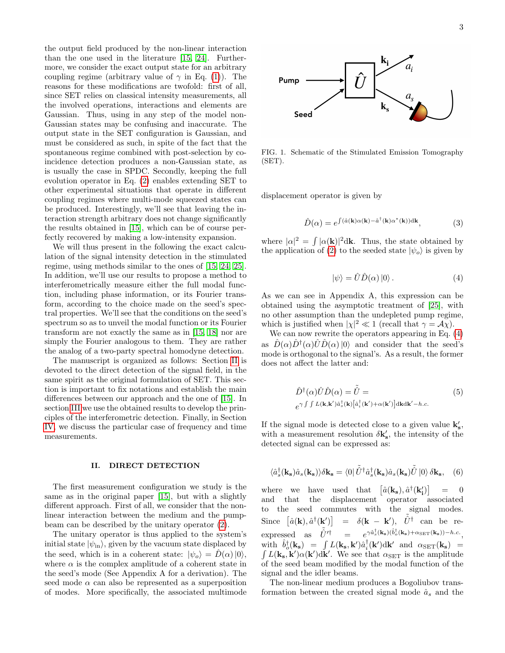the output field produced by the non-linear interaction than the one used in the literature [\[15,](#page-6-9) [24\]](#page-6-16). Furthermore, we consider the exact output state for an arbitrary coupling regime (arbitrary value of  $\gamma$  in Eq. [\(1\)](#page-0-0)). The reasons for these modifications are twofold: first of all, since SET relies on classical intensity measurements, all the involved operations, interactions and elements are Gaussian. Thus, using in any step of the model non-Gaussian states may be confusing and inaccurate. The output state in the SET configuration is Gaussian, and must be considered as such, in spite of the fact that the spontaneous regime combined with post-selection by coincidence detection produces a non-Gaussian state, as is usually the case in SPDC. Secondly, keeping the full evolution operator in Eq. [\(2\)](#page-1-0) enables extending SET to other experimental situations that operate in different coupling regimes where multi-mode squeezed states can be produced. Interestingly, we'll see that leaving the interaction strength arbitrary does not change significantly the results obtained in [\[15\]](#page-6-9), which can be of course perfectly recovered by making a low-intensity expansion.

We will thus present in the following the exact calculation of the signal intensity detection in the stimulated regime, using methods similar to the ones of [\[15,](#page-6-9) [24,](#page-6-16) [25\]](#page-6-17). In addition, we'll use our results to propose a method to interferometrically measure either the full modal function, including phase information, or its Fourier transform, according to the choice made on the seed's spectral properties. We'll see that the conditions on the seed's spectrum so as to unveil the modal function or its Fourier transform are not exactly the same as in [\[15,](#page-6-9) [18\]](#page-6-12) nor are simply the Fourier analogous to them. They are rather the analog of a two-party spectral homodyne detection.

The manuscript is organized as follows: Section [II](#page-2-1) is devoted to the direct detection of the signal field, in the same spirit as the original formulation of SET. This section is important to fix notations and establish the main differences between our approach and the one of [\[15\]](#page-6-9). In section [III](#page-3-0) we use the obtained results to develop the principles of the interferometric detection. Finally, in Section [IV,](#page-5-3) we discuss the particular case of frequency and time measurements.

#### <span id="page-2-1"></span>II. DIRECT DETECTION

The first measurement configuration we study is the same as in the original paper [\[15\]](#page-6-9), but with a slightly different approach. First of all, we consider that the nonlinear interaction between the medium and the pumpbeam can be described by the unitary operator [\(2\)](#page-1-0).

The unitary operator is thus applied to the system's initial state  $|\psi_{\text{in}}\rangle$ , given by the vacuum state displaced by the seed, which is in a coherent state:  $|\psi_o\rangle = D(\alpha)|0\rangle$ , where  $\alpha$  is the complex amplitude of a coherent state in the seed's mode (See Appendix A for a derivation). The seed mode  $\alpha$  can also be represented as a superposition of modes. More specifically, the associated multimode



<span id="page-2-0"></span>FIG. 1. Schematic of the Stimulated Emission Tomography (SET).

displacement operator is given by

$$
\hat{D}(\alpha) = e^{\int (\hat{a}(\mathbf{k})\alpha(\mathbf{k}) - \hat{a}^\dagger(\mathbf{k})\alpha^*(\mathbf{k})) \mathrm{d}\mathbf{k}},\tag{3}
$$

where  $|\alpha|^2 = \int |\alpha(\mathbf{k})|^2 d\mathbf{k}$ . Thus, the state obtained by the application of [\(2\)](#page-1-0) to the seeded state  $|\psi_{o}\rangle$  is given by

<span id="page-2-2"></span>
$$
|\psi\rangle = \hat{U}\hat{D}(\alpha)|0\rangle.
$$
 (4)

As we can see in Appendix A, this expression can be obtained using the asymptotic treatment of [\[25\]](#page-6-17), with no other assumption than the undepleted pump regime, which is justified when  $|\chi|^2 \ll 1$  (recall that  $\gamma = \mathcal{A}\chi$ ).

We can now rewrite the operators appearing in Eq. [\(4\)](#page-2-2) as  $\hat{D}(\alpha)\hat{D}^{\dagger}(\alpha)\hat{U}\hat{D}(\alpha)|0\rangle$  and consider that the seed's mode is orthogonal to the signal's. As a result, the former does not affect the latter and:

$$
\hat{D}^{\dagger}(\alpha)\hat{U}\hat{D}(\alpha) = \tilde{\hat{U}} =
$$
\n
$$
e^{\gamma \int \int L(\mathbf{k}, \mathbf{k}') \hat{a}_{s}^{\dagger}(\mathbf{k}) \left[\hat{a}_{i}^{\dagger}(\mathbf{k}') + \alpha(\mathbf{k}')\right] d\mathbf{k} d\mathbf{k}' - h.c.}
$$
\n(5)

If the signal mode is detected close to a given value  ${\bf k'_s},$ with a measurement resolution  $\delta \mathbf{k}'_{s}$ , the intensity of the detected signal can be expressed as:

<span id="page-2-3"></span>
$$
\langle \hat{a}_{s}^{\dagger}(\mathbf{k}_{s})\hat{a}_{s}(\mathbf{k}_{s})\rangle\delta\mathbf{k}_{s} = \langle 0|\tilde{\hat{U}}^{\dagger}\hat{a}_{s}^{\dagger}(\mathbf{k}_{s})\hat{a}_{s}(\mathbf{k}_{s})\tilde{\hat{U}}|0\rangle\delta\mathbf{k}_{s}, \quad (6)
$$

where we have used that  $\hat{a}(\mathbf{k_s}), \hat{a}^\dagger(\mathbf{k'_i})\big]$  $= 0$ and that the displacement operator associated to the seed commutes with the signal modes. Since  $[\hat{a}(\mathbf{k}), \hat{a}^{\dagger}(\mathbf{k}')] = \delta(\mathbf{k} - \mathbf{k}'), \ \tilde{\hat{U}}^{\dagger}$  can be re- $\text{expressed as } \tilde{\hat{U}}'^{\dagger} = e^{\gamma \hat{a}_s^{\dagger}(\mathbf{k_s})(\hat{b}_o^{\dagger}(\mathbf{k_s}) + \alpha_{\text{SET}}(\mathbf{k_s})) - h.c.},$ with  $\hat{b}^{\dagger}_{o}(\mathbf{k_s}) = \int L(\mathbf{k_s}, \mathbf{k}') \hat{a}^{\dagger}_{i}(\mathbf{k}') d\mathbf{k}'$  and  $\alpha_{\text{SET}}(\mathbf{k_s}) =$  $\int L(\mathbf{k_s}, \mathbf{k}') \alpha(\mathbf{k}') d\mathbf{k}'$ . We see that  $\alpha_{\text{SET}}$  is the amplitude of the seed beam modified by the modal function of the signal and the idler beams.

The non-linear medium produces a Bogoliubov transformation between the created signal mode  $\hat{a}_s$  and the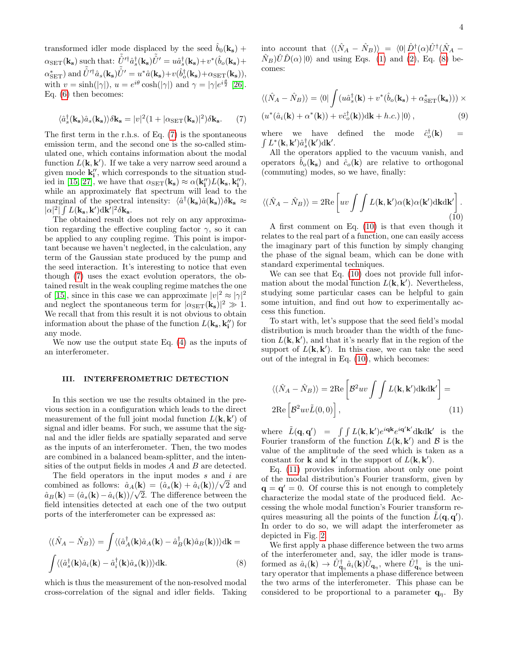transformed idler mode displaced by the seed  $\hat{b}_0(\mathbf{k_s})$  +  $\alpha_{\rm SET}(\mathbf{k_s})$  such that:  $\tilde{\hat{U}}'{}^{\dagger} \hat{a}_{s}^{\dagger}(\mathbf{k_s}) \tilde{\hat{U}}' = u \hat{a}_{s}^{\dagger}(\mathbf{k_s}) + v^* (\hat{b}_{o}(\mathbf{k_s}) +$  $\alpha_{\rm SET}^*$ ) and  $\tilde{\hat{U}}'$ <sup>†</sup> $\hat{a}_s(\mathbf{k_s})\tilde{\hat{U}}' = u^*\hat{a}(\mathbf{k_s}) + v(\hat{b}_o^{\dagger}(\mathbf{k_s}) + \alpha_{\rm SET}(\mathbf{k_s})),$ with  $v = \sinh(|\gamma|)$ ,  $u = e^{i\theta} \cosh(|\gamma|)$  and  $\gamma = |\gamma|e^{i\frac{\theta}{2}}$  [\[26\]](#page-6-18). Eq. [\(6\)](#page-2-3) then becomes:

<span id="page-3-1"></span>
$$
\langle \hat{a}_s^{\dagger}(\mathbf{k_s})\hat{a}_s(\mathbf{k_s})\rangle \delta \mathbf{k_s} = |v|^2 (1 + |\alpha_{\rm SET}(\mathbf{k_s})|^2) \delta \mathbf{k_s}.
$$
 (7)

The first term in the r.h.s. of Eq. [\(7\)](#page-3-1) is the spontaneous emission term, and the second one is the so-called stimulated one, which contains information about the modal function  $L(\mathbf{k}, \mathbf{k}')$ . If we take a very narrow seed around a given mode  $\mathbf{k}''_i$ , which corresponds to the situation stud-ied in [\[15,](#page-6-9) [27\]](#page-6-19), we have that  $\alpha_{\text{SET}}(\mathbf{k_s}) \approx \alpha(\mathbf{k''_i}) L(\mathbf{k_s}, \mathbf{k''_i}),$ while an approximately flat spectrum will lead to the marginal of the spectral intensity:  $\langle \hat{a}^{\dagger}(\mathbf{k_s})\hat{a}(\mathbf{k_s})\rangle \delta \mathbf{k_s} \approx$  $|\alpha|^2 |\int L({\bf k_s,k'}) {\rm d}{\bf k'}|^2 \delta {\bf k_s}.$ 

The obtained result does not rely on any approximation regarding the effective coupling factor  $\gamma$ , so it can be applied to any coupling regime. This point is important because we haven't neglected, in the calculation, any term of the Gaussian state produced by the pump and the seed interaction. It's interesting to notice that even though [\(7\)](#page-3-1) uses the exact evolution operators, the obtained result in the weak coupling regime matches the one of [\[15\]](#page-6-9), since in this case we can approximate  $|v|^2 \approx |\gamma|^2$ and neglect the spontaneous term for  $|\alpha_{\text{SET}}(\mathbf{k_s})|^2 \gg 1$ . We recall that from this result it is not obvious to obtain information about the phase of the function  $L(\mathbf{k_s}, \mathbf{k''_i})$  for any mode.

We now use the output state Eq. [\(4\)](#page-2-2) as the inputs of an interferometer.

## <span id="page-3-0"></span>III. INTERFEROMETRIC DETECTION

In this section we use the results obtained in the previous section in a configuration which leads to the direct measurement of the full joint modal function  $L(\mathbf{k}, \mathbf{k}')$  of signal and idler beams. For such, we assume that the signal and the idler fields are spatially separated and serve as the inputs of an interferometer. Then, the two modes are combined in a balanced beam-splitter, and the intensities of the output fields in modes A and B are detected.

The field operators in the input modes s and i are combined as follows:  $\hat{a}_A(\mathbf{k}) = (\hat{a}_s(\mathbf{k}) + \hat{a}_i(\mathbf{k}))/\sqrt{2}$  and  $\hat{a}_B(\mathbf{k}) = (\hat{a}_s(\mathbf{k}) - \hat{a}_i(\mathbf{k}))/\sqrt{2}$ . The difference between the field intensities detected at each one of the two output ports of the interferometer can be expressed as:

<span id="page-3-2"></span>
$$
\langle (\hat{N}_A - \hat{N}_B) \rangle = \int \langle (\hat{a}_A^{\dagger}(\mathbf{k}) \hat{a}_A(\mathbf{k}) - \hat{a}_B^{\dagger}(\mathbf{k}) \hat{a}_B(\mathbf{k})) \rangle d\mathbf{k} =
$$

$$
\int \langle (\hat{a}_s^{\dagger}(\mathbf{k}) \hat{a}_i(\mathbf{k}) - \hat{a}_i^{\dagger}(\mathbf{k}) \hat{a}_s(\mathbf{k})) \rangle d\mathbf{k}.
$$
 (8)

which is thus the measurement of the non-resolved modal cross-correlation of the signal and idler fields. Taking

into account that  $\langle (\hat{N}_A - \hat{N}_B) \rangle = \langle 0 | \hat{D}^{\dagger}(\alpha) \hat{U}^{\dagger} (\hat{N}_A - \hat{N}_B) \rangle$  $(N_B)U\hat{D}(\alpha)|0\rangle$  and using Eqs. [\(1\)](#page-0-0) and [\(2\)](#page-1-0), Eq. [\(8\)](#page-3-2) becomes:

$$
\langle (\hat{N}_A - \hat{N}_B) \rangle = \langle 0 | \int (u \hat{a}_s^\dagger(\mathbf{k}) + v^* (\hat{b}_o(\mathbf{k_s}) + \alpha_{\text{SET}}^*(\mathbf{k_s}))) \times (u^* (\hat{a}_i(\mathbf{k}) + \alpha^*(\mathbf{k})) + v \hat{c}_o^\dagger(\mathbf{k})) \, \mathrm{d}\mathbf{k} + h.c.) \, |0\rangle \,, \tag{9}
$$

where we have defined the mode  $\frac{1}{\rho}(\mathbf{k})$  = where we have defined the mode  $c_o^b$ <br> $\int L^*(\mathbf{k}, \mathbf{k}') \hat{a}_s^{\dagger}(\mathbf{k}') d\mathbf{k}'$ .

All the operators applied to the vacuum vanish, and operators  $\hat{b}_o(\mathbf{k}_s)$  and  $\hat{c}_o(\mathbf{k})$  are relative to orthogonal (commuting) modes, so we have, finally:

<span id="page-3-3"></span>
$$
\langle (\hat{N}_A - \hat{N}_B) \rangle = 2\text{Re}\left[ uv \int \int L(\mathbf{k}, \mathbf{k}') \alpha(\mathbf{k}) \alpha(\mathbf{k}') d\mathbf{k} d\mathbf{k}' \right].
$$
\n(10)

A first comment on Eq. [\(10\)](#page-3-3) is that even though it relates to the real part of a function, one can easily access the imaginary part of this function by simply changing the phase of the signal beam, which can be done with standard experimental techniques.

We can see that Eq. [\(10\)](#page-3-3) does not provide full information about the modal function  $L(\mathbf{k}, \mathbf{k}')$ . Nevertheless, studying some particular cases can be helpful to gain some intuition, and find out how to experimentally access this function.

To start with, let's suppose that the seed field's modal distribution is much broader than the width of the function  $L(\mathbf{k}, \mathbf{k}')$ , and that it's nearly flat in the region of the support of  $L(\mathbf{k}, \mathbf{k}')$ . In this case, we can take the seed out of the integral in Eq. [\(10\)](#page-3-3), which becomes:

<span id="page-3-4"></span>
$$
\langle (\hat{N}_A - \hat{N}_B) \rangle = 2 \text{Re} \left[ \mathcal{B}^2 u v \int \int L(\mathbf{k}, \mathbf{k}') d\mathbf{k} d\mathbf{k}' \right] =
$$
  
2 \text{Re} \left[ \mathcal{B}^2 u v \tilde{L}(0, 0) \right], (11)

where  $\tilde{L}(\mathbf{q}, \mathbf{q}') = \int \int L(\mathbf{k}, \mathbf{k}') e^{i\mathbf{q}\mathbf{k}} e^{i\mathbf{q}'\mathbf{k}'} d\mathbf{k} d\mathbf{k}'$  is the Fourier transform of the function  $L(\mathbf{k}, \mathbf{k}')$  and  $\beta$  is the value of the amplitude of the seed which is taken as a constant for **k** and **k**' in the support of  $L(\mathbf{k}, \mathbf{k}')$ .

Eq. [\(11\)](#page-3-4) provides information about only one point of the modal distribution's Fourier transform, given by  $\mathbf{q} = \mathbf{q}' = 0$ . Of course this is not enough to completely characterize the modal state of the produced field. Accessing the whole modal function's Fourier transform requires measuring all the points of the function  $\tilde{L}(\mathbf{q}, \mathbf{q}')$ . In order to do so, we will adapt the interferometer as depicted in Fig. [2.](#page-4-0)

We first apply a phase difference between the two arms of the interferometer and, say, the idler mode is transformed as  $\hat{a}_i(\mathbf{k}) \to \hat{U}^{\dagger}_{\mathbf{q}_{\eta}} \hat{a}_i(\mathbf{k}) \hat{U}_{\mathbf{q}_{\eta}}$ , where  $\hat{U}^{\dagger}_{\mathbf{q}_{\eta}}$  is the unitary operator that implements a phase difference between the two arms of the interferometer. This phase can be considered to be proportional to a parameter  $\mathbf{q}_\eta$ . By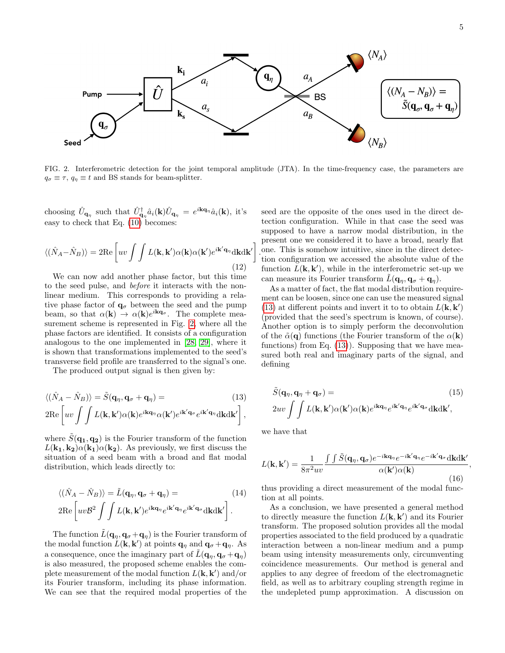

<span id="page-4-0"></span>FIG. 2. Interferometric detection for the joint temporal amplitude (JTA). In the time-frequency case, the parameters are  $q_{\sigma} \equiv \tau$ ,  $q_{\eta} \equiv t$  and BS stands for beam-splitter.

choosing  $\hat{U}_{\mathbf{q}_{\eta}}$  such that  $\hat{U}_{\mathbf{q}_{\eta}}^{\dagger} \hat{a}_i(\mathbf{k}) \hat{U}_{\mathbf{q}_{\eta}} = e^{i\mathbf{k}\mathbf{q}_{\eta}} \hat{a}_i(\mathbf{k})$ , it's easy to check that Eq. [\(10\)](#page-3-3) becomes:

$$
\langle (\hat{N}_A - \hat{N}_B) \rangle = 2\text{Re}\left[ uv \int \int L(\mathbf{k}, \mathbf{k}') \alpha(\mathbf{k}) \alpha(\mathbf{k}') e^{i\mathbf{k}' \mathbf{q}_{\eta}} d\mathbf{k} d\mathbf{k}' \right]
$$
(12)

We can now add another phase factor, but this time to the seed pulse, and before it interacts with the nonlinear medium. This corresponds to providing a relative phase factor of  $q_{\sigma}$  between the seed and the pump beam, so that  $\alpha(\mathbf{k}) \to \alpha(\mathbf{k})e^{i\mathbf{k}\mathbf{q}_{\sigma}}$ . The complete measurement scheme is represented in Fig. [2,](#page-4-0) where all the phase factors are identified. It consists of a configuration analogous to the one implemented in [\[28,](#page-6-20) [29\]](#page-6-21), where it is shown that transformations implemented to the seed's transverse field profile are transferred to the signal's one.

The produced output signal is then given by:

<span id="page-4-1"></span>
$$
\langle (\hat{N}_A - \hat{N}_B) \rangle = \tilde{S}(\mathbf{q}_\eta, \mathbf{q}_\sigma + \mathbf{q}_\eta) = \qquad (13)
$$
  
2Re  $\left[ uv \int \int L(\mathbf{k}, \mathbf{k}') \alpha(\mathbf{k}) e^{i\mathbf{k}\mathbf{q}_\eta} \alpha(\mathbf{k}') e^{i\mathbf{k}'\mathbf{q}_\sigma} e^{i\mathbf{k}'\mathbf{q}_\eta} d\mathbf{k} d\mathbf{k}' \right],$ 

where  $S(\mathbf{q_1}, \mathbf{q_2})$  is the Fourier transform of the function  $L(\mathbf{k_1}, \mathbf{k_2})\alpha(\mathbf{k_1})\alpha(\mathbf{k_2})$ . As previously, we first discuss the situation of a seed beam with a broad and flat modal distribution, which leads directly to:

<span id="page-4-2"></span>
$$
\langle (\hat{N}_A - \hat{N}_B) \rangle = \tilde{L}(\mathbf{q}_\eta, \mathbf{q}_\sigma + \mathbf{q}_\eta) =
$$
\n
$$
2\text{Re}\left[ uv\mathcal{B}^2 \int \int L(\mathbf{k}, \mathbf{k}') e^{i\mathbf{k}\mathbf{q}_\eta} e^{i\mathbf{k}'\mathbf{q}_\eta} e^{i\mathbf{k}'\mathbf{q}_\sigma} d\mathbf{k} d\mathbf{k}' \right].
$$
\n(14)

The function  $\tilde{L}(\mathbf{q}_n, \mathbf{q}_{\sigma} + \mathbf{q}_n)$  is the Fourier transform of the modal function  $\hat{L}(\mathbf{k}, \mathbf{k}')$  at points  $\mathbf{q}_{\eta}$  and  $\mathbf{q}_{\sigma} + \mathbf{q}_{\eta}$ . As a consequence, once the imaginary part of  $L(\mathbf{q}_n, \mathbf{q}_{\sigma} + \mathbf{q}_n)$ is also measured, the proposed scheme enables the complete measurement of the modal function  $L(\mathbf{k}, \mathbf{k}')$  and/or its Fourier transform, including its phase information. We can see that the required modal properties of the . one. This is somehow intuitive, since in the direct detecseed are the opposite of the ones used in the direct detection configuration. While in that case the seed was supposed to have a narrow modal distribution, in the present one we considered it to have a broad, nearly flat tion configuration we accessed the absolute value of the function  $\tilde{L}(\mathbf{k}, \mathbf{k}')$ , while in the interferometric set-up we can measure its Fourier transform  $\tilde{L}(\mathbf{q}_n, \mathbf{q}_{\sigma} + \mathbf{q}_n)$ .

As a matter of fact, the flat modal distribution requirement can be loosen, since one can use the measured signal [\(13\)](#page-4-1) at different points and invert it to to obtain  $L(\mathbf{k}, \mathbf{k}')$ (provided that the seed's spectrum is known, of course). Another option is to simply perform the deconvolution of the  $\tilde{\alpha}(\mathbf{q})$  functions (the Fourier transform of the  $\alpha(\mathbf{k})$ functions) from Eq.  $(13)$ . Supposing that we have measured both real and imaginary parts of the signal, and defining

$$
\tilde{S}(\mathbf{q}_{\eta}, \mathbf{q}_{\eta} + \mathbf{q}_{\sigma}) = (15)
$$
\n
$$
2uv \int \int L(\mathbf{k}, \mathbf{k}') \alpha(\mathbf{k}') \alpha(\mathbf{k}) e^{i\mathbf{k}\mathbf{q}_{\eta}} e^{i\mathbf{k}'\mathbf{q}_{\eta}} e^{i\mathbf{k}'\mathbf{q}_{\sigma}} d\mathbf{k} d\mathbf{k}',
$$

we have that

$$
L(\mathbf{k}, \mathbf{k}') = \frac{1}{8\pi^2 uv} \frac{\int \int \tilde{S}(\mathbf{q}_\eta, \mathbf{q}_\sigma) e^{-i\mathbf{k}\mathbf{q}_\eta} e^{-i\mathbf{k}'\mathbf{q}_\eta} e^{-i\mathbf{k}'\mathbf{q}_\sigma} d\mathbf{k} d\mathbf{k}'}{\alpha(\mathbf{k}')\alpha(\mathbf{k})},
$$
(16)

thus providing a direct measurement of the modal function at all points.

As a conclusion, we have presented a general method to directly measure the function  $L(\mathbf{k}, \mathbf{k}')$  and its Fourier transform. The proposed solution provides all the modal properties associated to the field produced by a quadratic interaction between a non-linear medium and a pump beam using intensity measurements only, circumventing coincidence measurements. Our method is general and applies to any degree of freedom of the electromagnetic field, as well as to arbitrary coupling strength regime in the undepleted pump approximation. A discussion on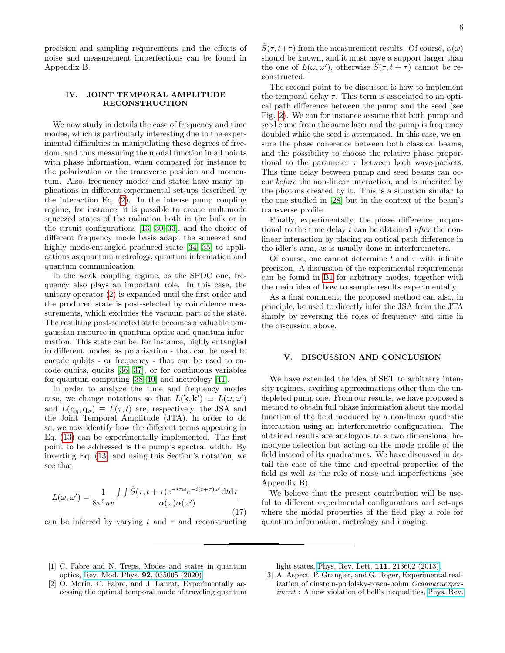precision and sampling requirements and the effects of noise and measurement imperfections can be found in Appendix B.

# <span id="page-5-3"></span>IV. JOINT TEMPORAL AMPLITUDE RECONSTRUCTION

We now study in details the case of frequency and time modes, which is particularly interesting due to the experimental difficulties in manipulating these degrees of freedom, and thus measuring the modal function in all points with phase information, when compared for instance to the polarization or the transverse position and momentum. Also, frequency modes and states have many applications in different experimental set-ups described by the interaction Eq. [\(2\)](#page-1-0). In the intense pump coupling regime, for instance, it is possible to create multimode squeezed states of the radiation both in the bulk or in the circuit configurations [\[13,](#page-6-7) [30–](#page-6-22)[33\]](#page-6-23), and the choice of different frequency mode basis adapt the squeezed and highly mode-entangled produced state [\[34,](#page-6-24) [35\]](#page-6-25) to applications as quantum metrology, quantum information and quantum communication.

In the weak coupling regime, as the SPDC one, frequency also plays an important role. In this case, the unitary operator [\(2\)](#page-1-0) is expanded until the first order and the produced state is post-selected by coincidence measurements, which excludes the vacuum part of the state. The resulting post-selected state becomes a valuable nongaussian resource in quantum optics and quantum information. This state can be, for instance, highly entangled in different modes, as polarization - that can be used to encode qubits - or frequency - that can be used to encode qubits, qudits [\[36,](#page-6-26) [37\]](#page-7-0), or for continuous variables for quantum computing [\[38](#page-7-1)[–40\]](#page-7-2) and metrology [\[41\]](#page-7-3).

In order to analyze the time and frequency modes case, we change notations so that  $L(\mathbf{k}, \mathbf{k}') \equiv L(\omega, \omega')$ and  $\tilde{L}(\mathbf{q}_n, \mathbf{q}_\sigma) \equiv \tilde{L}(\tau, t)$  are, respectively, the JSA and the Joint Temporal Amplitude (JTA). ln order to do so, we now identify how the different terms appearing in Eq. [\(13\)](#page-4-1) can be experimentally implemented. The first point to be addressed is the pump's spectral width. By inverting Eq. [\(13\)](#page-4-1) and using this Section's notation, we see that

$$
L(\omega, \omega') = \frac{1}{8\pi^2 uv} \frac{\int \int \tilde{S}(\tau, t + \tau) e^{-i\tau \omega} e^{-i(t + \tau)\omega'} dt d\tau}{\alpha(\omega)\alpha(\omega')}
$$
(17)

can be inferred by varying t and  $\tau$  and reconstructing

 $S(\tau, t+\tau)$  from the measurement results. Of course,  $\alpha(\omega)$ should be known, and it must have a support larger than the one of  $L(\omega, \omega')$ , otherwise  $\tilde{S}(\tau, t + \tau)$  cannot be reconstructed.

The second point to be discussed is how to implement the temporal delay  $\tau$ . This term is associated to an optical path difference between the pump and the seed (see Fig. [2\)](#page-4-0). We can for instance assume that both pump and seed come from the same laser and the pump is frequency doubled while the seed is attenuated. In this case, we ensure the phase coherence between both classical beams, and the possibility to choose the relative phase proportional to the parameter  $\tau$  between both wave-packets. This time delay between pump and seed beams can occur before the non-linear interaction, and is inherited by the photons created by it. This is a situation similar to the one studied in [\[28\]](#page-6-20) but in the context of the beam's transverse profile.

Finally, experimentally, the phase difference proportional to the time delay  $t$  can be obtained *after* the nonlinear interaction by placing an optical path difference in the idler's arm, as is usually done in interferometers.

Of course, one cannot determine t and  $\tau$  with infinite precision. A discussion of the experimental requirements can be found in [B1](#page-11-0) for arbitrary modes, together with the main idea of how to sample results experimentally.

As a final comment, the proposed method can also, in principle, be used to directly infer the JSA from the JTA simply by reversing the roles of frequency and time in the discussion above.

### V. DISCUSSION AND CONCLUSION

We have extended the idea of SET to arbitrary intensity regimes, avoiding approximations other than the undepleted pump one. From our results, we have proposed a method to obtain full phase information about the modal function of the field produced by a non-linear quadratic interaction using an interferometric configuration. The obtained results are analogous to a two dimensional homodyne detection but acting on the mode profile of the field instead of its quadratures. We have discussed in detail the case of the time and spectral properties of the field as well as the role of noise and imperfections (see Appendix B).

We believe that the present contribution will be useful to different experimental configurations and set-ups where the modal properties of the field play a role for quantum information, metrology and imaging.

- <span id="page-5-0"></span>[1] C. Fabre and N. Treps, Modes and states in quantum optics, [Rev. Mod. Phys.](https://doi.org/10.1103/RevModPhys.92.035005) 92, 035005 (2020).
- <span id="page-5-1"></span>[2] O. Morin, C. Fabre, and J. Laurat, Experimentally accessing the optimal temporal mode of traveling quantum

light states, [Phys. Rev. Lett.](https://doi.org/10.1103/PhysRevLett.111.213602) 111, 213602 (2013).

<span id="page-5-2"></span>[3] A. Aspect, P. Grangier, and G. Roger, Experimental realization of einstein-podolsky-rosen-bohm Gedankenexperiment : A new violation of bell's inequalities, [Phys. Rev.](https://doi.org/10.1103/PhysRevLett.49.91)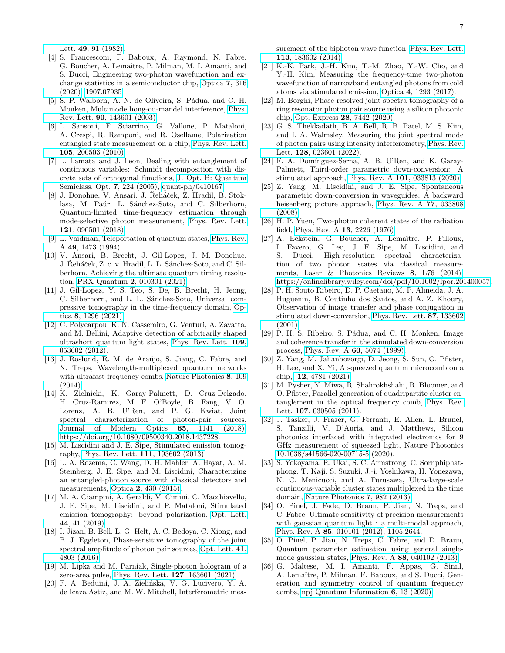Lett. 49[, 91 \(1982\).](https://doi.org/10.1103/PhysRevLett.49.91)

- <span id="page-6-0"></span>[4] S. Francesconi, F. Baboux, A. Raymond, N. Fabre, G. Boucher, A. Lemaˆıtre, P. Milman, M. I. Amanti, and S. Ducci, Engineering two-photon wavefunction and exchange statistics in a semiconductor chip, [Optica](https://doi.org/10.1364/OPTICA.379477) 7, 316 [\(2020\),](https://doi.org/10.1364/OPTICA.379477) [1907.07935.](https://arxiv.org/abs/1907.07935)
- [5] S. P. Walborn, A. N. de Oliveira, S. Pádua, and C. H. Monken, Multimode hong-ou-mandel interference, [Phys.](https://doi.org/10.1103/PhysRevLett.90.143601) Rev. Lett. 90[, 143601 \(2003\).](https://doi.org/10.1103/PhysRevLett.90.143601)
- <span id="page-6-1"></span>[6] L. Sansoni, F. Sciarrino, G. Vallone, P. Mataloni, A. Crespi, R. Ramponi, and R. Osellame, Polarization entangled state measurement on a chip, [Phys. Rev. Lett.](https://doi.org/10.1103/PhysRevLett.105.200503) 105[, 200503 \(2010\).](https://doi.org/10.1103/PhysRevLett.105.200503)
- <span id="page-6-2"></span>[7] L. Lamata and J. Leon, Dealing with entanglement of continuous variables: Schmidt decomposition with discrete sets of orthogonal functions, [J. Opt. B: Quantum](https://doi.org/10.1088/1464-4266/7/8/004) [Semiclass. Opt.](https://doi.org/10.1088/1464-4266/7/8/004) 7, 224 (2005), [quant-ph/0410167.](https://arxiv.org/abs/quant-ph/0410167)
- <span id="page-6-3"></span>[8] J. Donohue, V. Ansari, J. Reháček, Z. Hradil, B. Stoklasa, M. Paúr, L. Sánchez-Soto, and C. Silberhorn, Quantum-limited time-frequency estimation through mode-selective photon measurement, [Phys. Rev. Lett.](https://doi.org/10.1103/PhysRevLett.121.090501) 121[, 090501 \(2018\).](https://doi.org/10.1103/PhysRevLett.121.090501)
- <span id="page-6-4"></span>[9] L. Vaidman, Teleportation of quantum states, [Phys. Rev.](https://doi.org/10.1103/PhysRevA.49.1473) A 49[, 1473 \(1994\).](https://doi.org/10.1103/PhysRevA.49.1473)
- <span id="page-6-5"></span>[10] V. Ansari, B. Brecht, J. Gil-Lopez, J. M. Donohue, J. Řeháček, Z. c. v. Hradil, L. L. Sánchez-Soto, and C. Silberhorn, Achieving the ultimate quantum timing resolution, PRX Quantum 2[, 010301 \(2021\).](https://doi.org/10.1103/PRXQuantum.2.010301)
- <span id="page-6-6"></span>[11] J. Gil-Lopez, Y. S. Teo, S. De, B. Brecht, H. Jeong, C. Silberhorn, and L. L. Sánchez-Soto, Universal compressive tomography in the time-frequency domain, [Op](https://doi.org/10.1364/OPTICA.427645)tica 8[, 1296 \(2021\).](https://doi.org/10.1364/OPTICA.427645)
- [12] C. Polycarpou, K. N. Cassemiro, G. Venturi, A. Zavatta, and M. Bellini, Adaptive detection of arbitrarily shaped ultrashort quantum light states, [Phys. Rev. Lett.](https://doi.org/10.1103/PhysRevLett.109.053602) 109, [053602 \(2012\).](https://doi.org/10.1103/PhysRevLett.109.053602)
- <span id="page-6-7"></span>[13] J. Roslund, R. M. de Araújo, S. Jiang, C. Fabre, and N. Treps, Wavelength-multiplexed quantum networks with ultrafast frequency combs, [Nature Photonics](https://doi.org/10.1038/nphoton.2013.340) 8, 109 [\(2014\).](https://doi.org/10.1038/nphoton.2013.340)
- <span id="page-6-8"></span>[14] K. Zielnicki, K. Garay-Palmett, D. Cruz-Delgado, H. Cruz-Ramirez, M. F. O'Boyle, B. Fang, V. O. Lorenz, A. B. U'Ren, and P. G. Kwiat, Joint spectral characterization of photon-pair sources, [Journal of Modern Optics](https://doi.org/10.1080/09500340.2018.1437228) 65, 1141 (2018), [https://doi.org/10.1080/09500340.2018.1437228.](https://arxiv.org/abs/https://doi.org/10.1080/09500340.2018.1437228)
- <span id="page-6-9"></span>[15] M. Liscidini and J. E. Sipe, Stimulated emission tomography, [Phys. Rev. Lett.](https://doi.org/10.1103/PhysRevLett.111.193602) 111, 193602 (2013).
- <span id="page-6-10"></span>[16] L. A. Rozema, C. Wang, D. H. Mahler, A. Hayat, A. M. Steinberg, J. E. Sipe, and M. Liscidini, Characterizing an entangled-photon source with classical detectors and measurements, Optica 2[, 430 \(2015\).](https://doi.org/10.1364/OPTICA.2.000430)
- <span id="page-6-11"></span>[17] M. A. Ciampini, A. Geraldi, V. Cimini, C. Macchiavello, J. E. Sipe, M. Liscidini, and P. Mataloni, Stimulated emission tomography: beyond polarization, [Opt. Lett.](https://doi.org/10.1364/OL.44.000041) 44[, 41 \(2019\).](https://doi.org/10.1364/OL.44.000041)
- <span id="page-6-12"></span>[18] I. Jizan, B. Bell, L. G. Helt, A. C. Bedoya, C. Xiong, and B. J. Eggleton, Phase-sensitive tomography of the joint spectral amplitude of photon pair sources, [Opt. Lett.](https://doi.org/10.1364/OL.41.004803) 41, [4803 \(2016\).](https://doi.org/10.1364/OL.41.004803)
- <span id="page-6-13"></span>[19] M. Lipka and M. Parniak, Single-photon hologram of a zero-area pulse, [Phys. Rev. Lett.](https://doi.org/10.1103/PhysRevLett.127.163601) 127, 163601 (2021).
- <span id="page-6-14"></span>[20] F. A. Beduini, J. A. Zielińska, V. G. Lucivero, Y. A. de Icaza Astiz, and M. W. Mitchell, Interferometric mea-

surement of the biphoton wave function, [Phys. Rev. Lett.](https://doi.org/10.1103/PhysRevLett.113.183602) 113[, 183602 \(2014\).](https://doi.org/10.1103/PhysRevLett.113.183602)

- [21] K.-K. Park, J.-H. Kim, T.-M. Zhao, Y.-W. Cho, and Y.-H. Kim, Measuring the frequency-time two-photon wavefunction of narrowband entangled photons from cold atoms via stimulated emission, Optica 4[, 1293 \(2017\).](https://doi.org/10.1364/OPTICA.4.001293)
- [22] M. Borghi, Phase-resolved joint spectra tomography of a ring resonator photon pair source using a silicon photonic chip, Opt. Express 28[, 7442 \(2020\).](https://doi.org/10.1364/OE.386139)
- <span id="page-6-15"></span>[23] G. S. Thekkadath, B. A. Bell, R. B. Patel, M. S. Kim, and I. A. Walmsley, Measuring the joint spectral mode of photon pairs using intensity interferometry, [Phys. Rev.](https://doi.org/10.1103/PhysRevLett.128.023601) Lett. 128[, 023601 \(2022\).](https://doi.org/10.1103/PhysRevLett.128.023601)
- <span id="page-6-16"></span>[24] F. A. Domínguez-Serna, A. B. U'Ren, and K. Garay-Palmett, Third-order parametric down-conversion: A stimulated approach, Phys. Rev. A 101[, 033813 \(2020\).](https://doi.org/10.1103/PhysRevA.101.033813)
- <span id="page-6-17"></span>[25] Z. Yang, M. Liscidini, and J. E. Sipe, Spontaneous parametric down-conversion in waveguides: A backward heisenberg picture approach, [Phys. Rev. A](https://doi.org/10.1103/PhysRevA.77.033808) 77, 033808 [\(2008\).](https://doi.org/10.1103/PhysRevA.77.033808)
- <span id="page-6-18"></span>[26] H. P. Yuen, Two-photon coherent states of the radiation field, [Phys. Rev. A](https://doi.org/10.1103/PhysRevA.13.2226) 13, 2226 (1976).
- <span id="page-6-19"></span>[27] A. Eckstein, G. Boucher, A. Lemaître, P. Filloux, I. Favero, G. Leo, J. E. Sipe, M. Liscidini, and S. Ducci, High-resolution spectral characterization of two photon states via classical measurements, [Laser & Photonics Reviews](https://doi.org/https://doi.org/10.1002/lpor.201400057) 8, L76 (2014), [https://onlinelibrary.wiley.com/doi/pdf/10.1002/lpor.201400057.](https://arxiv.org/abs/https://onlinelibrary.wiley.com/doi/pdf/10.1002/lpor.201400057)
- <span id="page-6-20"></span>[28] P. H. Souto Ribeiro, D. P. Caetano, M. P. Almeida, J. A. Huguenin, B. Coutinho dos Santos, and A. Z. Khoury, Observation of image transfer and phase conjugation in stimulated down-conversion, [Phys. Rev. Lett.](https://doi.org/10.1103/PhysRevLett.87.133602) 87, 133602  $(2001)$ .
- <span id="page-6-21"></span>[29] P. H. S. Ribeiro, S. Pádua, and C. H. Monken, Image and coherence transfer in the stimulated down-conversion process, [Phys. Rev. A](https://doi.org/10.1103/PhysRevA.60.5074) 60, 5074 (1999).
- <span id="page-6-22"></span>[30] Z. Yang, M. Jahanbozorgi, D. Jeong, S. Sun, O. Pfister, H. Lee, and X. Yi, A squeezed quantum microcomb on a chip, 12[, 4781 \(2021\).](https://doi.org/10.1038/s41467-021-25054-z)
- [31] M. Pysher, Y. Miwa, R. Shahrokhshahi, R. Bloomer, and O. Pfister, Parallel generation of quadripartite cluster entanglement in the optical frequency comb, [Phys. Rev.](https://doi.org/10.1103/PhysRevLett.107.030505) Lett. **107**[, 030505 \(2011\).](https://doi.org/10.1103/PhysRevLett.107.030505)
- [32] J. Tasker, J. Frazer, G. Ferranti, E. Allen, L. Brunel, S. Tanzilli, V. D'Auria, and J. Matthews, Silicon photonics interfaced with integrated electronics for 9 GHz measurement of squeezed light, Nature Photonics [10.1038/s41566-020-00715-5](https://doi.org/10.1038/s41566-020-00715-5) (2020).
- <span id="page-6-23"></span>[33] S. Yokoyama, R. Ukai, S. C. Armstrong, C. Sornphiphatphong, T. Kaji, S. Suzuki, J.-i. Yoshikawa, H. Yonezawa, N. C. Menicucci, and A. Furusawa, Ultra-large-scale continuous-variable cluster states multiplexed in the time domain, [Nature Photonics](https://doi.org/10.1038/nphoton.2013.287) 7, 982 (2013).
- <span id="page-6-24"></span>[34] O. Pinel, J. Fade, D. Braun, P. Jian, N. Treps, and C. Fabre, Ultimate sensitivity of precision measurements with gaussian quantum light : a multi-modal approach, Phys. Rev. A 85[, 010101 \(2012\),](https://doi.org/10.1103/PhysRevA.85.010101) [1105.2644.](https://arxiv.org/abs/1105.2644)
- <span id="page-6-25"></span>[35] O. Pinel, P. Jian, N. Treps, C. Fabre, and D. Braun, Quantum parameter estimation using general singlemode gaussian states, Phys. Rev. A 88[, 040102 \(2013\).](https://doi.org/10.1103/PhysRevA.88.040102)
- <span id="page-6-26"></span>[36] G. Maltese, M. I. Amanti, F. Appas, G. Sinnl, A. Lemaître, P. Milman, F. Baboux, and S. Ducci, Generation and symmetry control of quantum frequency combs, [npj Quantum Information](https://doi.org/10.1038/s41534-019-0237-9) 6, 13 (2020).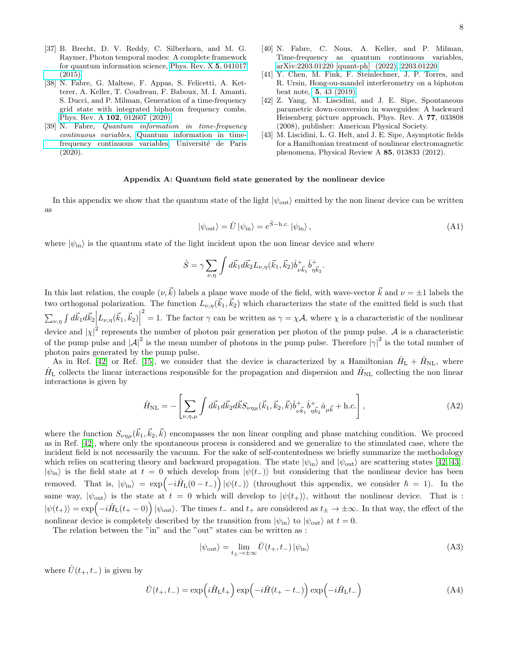- <span id="page-7-0"></span>[37] B. Brecht, D. V. Reddy, C. Silberhorn, and M. G. Raymer, Photon temporal modes: A complete framework for quantum information science, [Phys. Rev. X](https://doi.org/10.1103/PhysRevX.5.041017) 5, 041017 [\(2015\).](https://doi.org/10.1103/PhysRevX.5.041017)
- <span id="page-7-1"></span>[38] N. Fabre, G. Maltese, F. Appas, S. Felicetti, A. Ketterer, A. Keller, T. Coudreau, F. Baboux, M. I. Amanti, S. Ducci, and P. Milman, Generation of a time-frequency grid state with integrated biphoton frequency combs, Phys. Rev. A 102[, 012607 \(2020\).](https://doi.org/10.1103/PhysRevA.102.012607)
- [39] N. Fabre, Quantum information in time-frequency continuous variables, [Quantum information in time](https://tel.archives-ouvertes.fr/tel-03191301)[frequency continuous variables,](https://tel.archives-ouvertes.fr/tel-03191301) Université de Paris (2020).
- <span id="page-7-2"></span>[40] N. Fabre, C. Nous, A. Keller, and P. Milman, Time-frequency as quantum continuous variables, [arXiv:2203.01220 \[quant-ph\] \(2022\),](http://arxiv.org/abs/2203.01220) [2203.01220.](https://arxiv.org/abs/2203.01220)
- <span id="page-7-3"></span>[41] Y. Chen, M. Fink, F. Steinlechner, J. P. Torres, and R. Ursin, Hong-ou-mandel interferometry on a biphoton beat note, 5[, 43 \(2019\).](https://doi.org/10.1038/s41534-019-0161-z)
- <span id="page-7-4"></span>[42] Z. Yang, M. Liscidini, and J. E. Sipe, Spontaneous parametric down-conversion in waveguides: A backward Heisenberg picture approach, Phys. Rev. A 77, 033808 (2008), publisher: American Physical Society.
- <span id="page-7-5"></span>[43] M. Liscidini, L. G. Helt, and J. E. Sipe, Asymptotic fields for a Hamiltonian treatment of nonlinear electromagnetic phenomena, Physical Review A 85, 013833 (2012).

## Appendix A: Quantum field state generated by the nonlinear device

In this appendix we show that the quantum state of the light  $|\psi_{\text{out}}\rangle$  emitted by the non linear device can be written as

<span id="page-7-9"></span>
$$
|\psi_{\text{out}}\rangle = \hat{U} |\psi_{\text{in}}\rangle = e^{\hat{S} - \text{h.c.}} |\psi_{\text{in}}\rangle, \tag{A1}
$$

where  $|\psi_{\text{in}}\rangle$  is the quantum state of the light incident upon the non linear device and where

$$
\hat{S} = \gamma \sum_{\nu,\eta} \int d\vec{k}_1 d\vec{k}_2 L_{\nu,\eta} (\vec{k}_1, \vec{k}_2) \hat{b}^+_{\nu \vec{k}_1} \hat{b}^+_{\eta \vec{k}_2}.
$$

In this last relation, the couple  $(\nu, \vec{k})$  labels a plane wave mode of the field, with wave-vector  $\vec{k}$  and  $\nu = \pm 1$  labels the two orthogonal polarization. The function  $L_{\nu,\eta}(\vec{k}_1,\vec{k}_2)$  which characterizes the state of the emitted field is such that  $\sum_{\nu,\eta} \int d\vec{k}_1 d\vec{k}_2 \Big| L_{\nu,\eta}(\vec{k}_1,\vec{k}_2) \Big|$  $\frac{1}{2}$  ,  $\frac{1}{2}$  ,  $\frac{1}{2}$  ,  $\frac{1}{2}$  ,  $\frac{1}{2}$  ,  $\frac{1}{2}$  ,  $\frac{1}{2}$ <sup>2</sup> = 1. The factor γ can be written as  $\gamma = \chi A$ , where  $\chi$  is a characteristic of the nonlinear device and  $|\chi|^2$  represents the number of photon pair generation per photon of the pump pulse. A is a characteristic of the pump pulse and  $|A|^2$  is the mean number of photons in the pump pulse. Therefore  $|\gamma|^2$  is the total number of photon pairs generated by the pump pulse.

As in Ref. [\[42\]](#page-7-4) or Ref. [\[15\]](#page-6-9), we consider that the device is characterized by a Hamiltonian  $\hat{H}_{\rm L} + \hat{H}_{\rm NL}$ , where  $\hat{H}_{\rm L}$  collects the linear interactions responsible for the propagation and dispersion and  $\hat{H}_{\rm NL}$  collecting the non linear interactions is given by

<span id="page-7-6"></span>
$$
\hat{H}_{\rm NL} = -\left[\sum_{\nu,\eta,\mu} \int d\vec{k}_1 d\vec{k}_2 d\vec{k} S_{\nu\eta\mu} (\vec{k}_1, \vec{k}_2, \vec{k}) \hat{b}^+_{\nu \vec{k}_1} \hat{b}^+_{\eta \vec{k}_2} \hat{a}_{\mu \vec{k}} + \text{h.c.}\right],\tag{A2}
$$

where the function  $S_{\nu\eta\mu}(\vec{k}_1,\vec{k}_2,\vec{k})$  encompasses the non linear coupling and phase matching condition. We proceed as in Ref. [\[42\]](#page-7-4), where only the spontaneous process is considered and we generalize to the stimulated case, where the incident field is not necessarily the vacuum. For the sake of self-contentedness we briefly summarize the methodology which relies on scattering theory and backward propagation. The state  $|\psi_{\text{in}}\rangle$  and  $|\psi_{\text{out}}\rangle$  are scattering states [\[42,](#page-7-4) [43\]](#page-7-5).  $|\psi_{\text{in}}\rangle$  is the field state at  $t = 0$  which develop from  $|\psi(t_-\rangle)$  but considering that the nonlinear device has been removed. That is,  $|\psi_{\text{in}}\rangle = \exp\left(-i\hat{H}_{\text{L}}(0-t_-\right)|\psi(t_-\rangle)$  (throughout this appendix, we consider  $\hbar = 1$ ). In the same way,  $|\psi_{\text{out}}\rangle$  is the state at  $t = 0$  which will develop to  $|\psi(t_+)\rangle$ , without the nonlinear device. That is :  $|\psi(t_+)\rangle = \exp\left(-i\hat{H}_{\rm L}(t_+ - 0)\right)|\psi_{\rm out}\rangle$ . The times  $t_-$  and  $t_+$  are considered as  $t_+ \to \pm \infty$ . In that way, the effect of the nonlinear device is completely described by the transition from  $|\psi_{in}\rangle$  to  $|\psi_{out}\rangle$  at  $t = 0$ .

The relation between the "in" and the "out" states can be written as :

<span id="page-7-7"></span>
$$
|\psi_{\text{out}}\rangle = \lim_{t_{\pm} \to \pm \infty} \hat{U}(t_{+}, t_{-}) |\psi_{\text{in}}\rangle
$$
 (A3)

where  $\hat{U}(t_{+}, t_{-})$  is given by

<span id="page-7-8"></span>
$$
\hat{U}(t_{+},t_{-}) = \exp\left(i\hat{H}_{\mathrm{L}}t_{+}\right)\exp\left(-i\hat{H}(t_{+}-t_{-})\right)\exp\left(-i\hat{H}_{\mathrm{L}}t_{-}\right) \tag{A4}
$$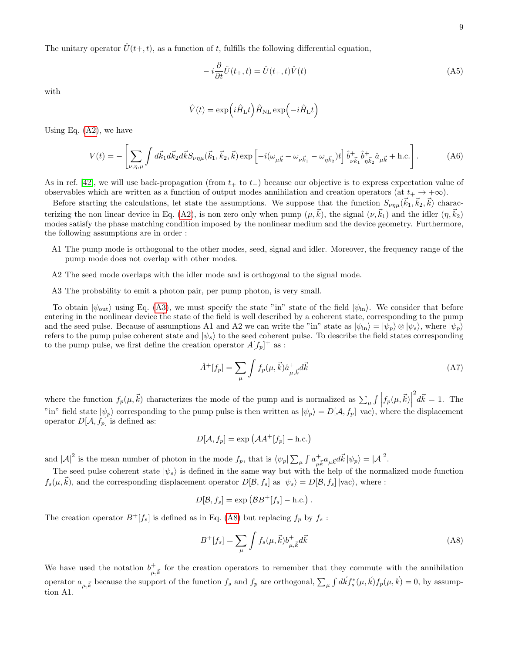The unitary operator  $\hat{U}(t+, t)$ , as a function of t, fulfills the following differential equation,

$$
-i\frac{\partial}{\partial t}\hat{U}(t_+,t) = \hat{U}(t_+,t)\hat{V}(t)
$$
\n(A5)

with

$$
\hat{V}(t)=\exp\Bigl(i\hat{H}_{\rm L}t\Bigr)\hat{H}_{\rm NL}\exp\Bigl(-i\hat{H}_{\rm L}t\Bigr)
$$

Using Eq.  $(A2)$ , we have

<span id="page-8-1"></span>
$$
V(t) = -\left[\sum_{\nu,\eta,\mu} \int d\vec{k}_1 d\vec{k}_2 d\vec{k} S_{\nu\eta\mu}(\vec{k}_1,\vec{k}_2,\vec{k}) \exp\left[-i(\omega_{\mu\vec{k}} - \omega_{\nu\vec{k}_1} - \omega_{\eta\vec{k}_2})t\right] \hat{b}^+_{\nu\vec{k}_1} \hat{b}^+_{\eta\vec{k}_2} \hat{a}_{\mu\vec{k}} + \text{h.c.}\right].
$$
 (A6)

As in ref. [\[42\]](#page-7-4), we will use back-propagation (from  $t_+$  to  $t_-$ ) because our objective is to express expectation value of observables which are written as a function of output modes annihilation and creation operators (at  $t_{+} \to +\infty$ ).

Before starting the calculations, let state the assumptions. We suppose that the function  $S_{\nu\eta\mu}(\vec{k}_1,\vec{k}_2,\vec{k})$  charac-terizing the non linear device in Eq. [\(A2\)](#page-7-6), is non zero only when pump  $(\mu,\vec{k})$ , the signal  $(\nu,\vec{k}_1)$  and the idler  $(\eta,\vec{k}_2)$ modes satisfy the phase matching condition imposed by the nonlinear medium and the device geometry. Furthermore, the following assumptions are in order :

- A1 The pump mode is orthogonal to the other modes, seed, signal and idler. Moreover, the frequency range of the pump mode does not overlap with other modes.
- A2 The seed mode overlaps with the idler mode and is orthogonal to the signal mode.
- A3 The probability to emit a photon pair, per pump photon, is very small.

To obtain  $|\psi_{\text{out}}\rangle$  using Eq. [\(A3\)](#page-7-7), we must specify the state "in" state of the field  $|\psi_{\text{in}}\rangle$ . We consider that before entering in the nonlinear device the state of the field is well described by a coherent state, corresponding to the pump and the seed pulse. Because of assumptions A1 and A2 we can write the "in" state as  $|\psi_{\rm in}\rangle = |\psi_p\rangle \otimes |\psi_s\rangle$ , where  $|\psi_p\rangle$ refers to the pump pulse coherent state and  $|\psi_s\rangle$  to the seed coherent pulse. To describe the field states corresponding to the pump pulse, we first define the creation operator  $A[f_p]^+$  as :

$$
\hat{A}^+[f_p] = \sum_{\mu} \int f_p(\mu, \vec{k}) \hat{a}^+_{\mu, \vec{k}} d\vec{k}
$$
 (A7)

where the function  $f_p(\mu, \vec{k})$  characterizes the mode of the pump and is normalized as  $\sum_{\mu} \int \left| f_p(\mu, \vec{k}) \right|$  $\overrightarrow{dk} = 1$ . The "in" field state  $|\psi_p\rangle$  corresponding to the pump pulse is then written as  $|\psi_p\rangle = D[\mathcal{A}, f_p]$  |vac), where the displacement operator  $D[\mathcal{A}, f_p]$  is defined as:

$$
D[\mathcal{A}, f_p] = \exp\left(\mathcal{A}A^+[f_p] - \text{h.c.}\right)
$$

and  $|\mathcal{A}|^2$  is the mean number of photon in the mode  $f_p$ , that is  $\langle \psi_p | \sum_{\mu} \int a_{\mu \vec{k}}^{\dagger} a_{\mu \vec{k}} d\vec{k} | \psi_p \rangle = |\mathcal{A}|^2$ .

The seed pulse coherent state  $|\psi_s\rangle$  is defined in the same way but with the help of the normalized mode function  $f_s(\mu,\vec{k})$ , and the corresponding displacement operator  $D[\mathcal{B}, f_s]$  as  $|\psi_s\rangle = D[\mathcal{B}, f_s]$  |vac), where :

$$
D[\mathcal{B}, f_s] = \exp (\mathcal{B}B^+[f_s] - \text{h.c.}) .
$$

The creation operator  $B^+[f_s]$  is defined as in Eq. [\(A8\)](#page-8-0) but replacing  $f_p$  by  $f_s$ :

<span id="page-8-0"></span>
$$
B^{+}[f_s] = \sum_{\mu} \int f_s(\mu, \vec{k}) b^{+}_{\mu, \vec{k}} d\vec{k}
$$
 (A8)

We have used the notation  $b^+_{\mu,\vec{k}}$  for the creation operators to remember that they commute with the annihilation operator  $a_{\mu, \vec{k}}$  because the support of the function  $f_s$  and  $f_p$  are orthogonal,  $\sum_{\mu} \int d\vec{k} f_s^*(\mu, \vec{k}) f_p(\mu, \vec{k}) = 0$ , by assumption A1.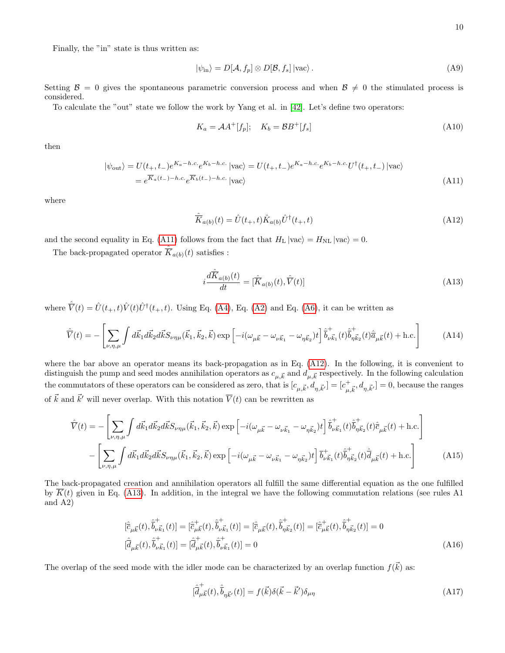Finally, the "in" state is thus written as:

$$
|\psi_{\rm in}\rangle = D[\mathcal{A}, f_p] \otimes D[\mathcal{B}, f_s] |{\rm vac}\rangle. \tag{A9}
$$

Setting  $\mathcal{B} = 0$  gives the spontaneous parametric conversion process and when  $\mathcal{B} \neq 0$  the stimulated process is considered.

To calculate the "out" state we follow the work by Yang et al. in [\[42\]](#page-7-4). Let's define two operators:

<span id="page-9-3"></span><span id="page-9-0"></span>
$$
K_a = \mathcal{A}A^+[f_p]; \quad K_b = \mathcal{B}B^+[f_s]
$$
\n
$$
(A10)
$$

then

$$
|\psi_{\text{out}}\rangle = U(t_{+}, t_{-})e^{K_{a}-h.c.}e^{K_{b}-h.c.}|\text{vac}\rangle = U(t_{+}, t_{-})e^{K_{a}-h.c.}e^{K_{b}-h.c.}U^{\dagger}(t_{+}, t_{-})|\text{vac}\rangle
$$
  
=  $e^{\overline{K}_{a}(t_{-})-h.c.}e^{\overline{K}_{b}(t_{-})-h.c.}|\text{vac}\rangle$  (A11)

where

<span id="page-9-1"></span>
$$
\hat{\overline{K}}_{a(b)}(t) = \hat{U}(t_{+}, t)\hat{K}_{a(b)}\hat{U}^{\dagger}(t_{+}, t)
$$
\n(A12)

and the second equality in Eq. [\(A11\)](#page-9-0) follows from the fact that  $H_L |\text{vac}\rangle = H_{NL} |\text{vac}\rangle = 0$ .

The back-propagated operator  $\hat{K}_{a(b)}(t)$  satisfies :

<span id="page-9-2"></span>
$$
i\frac{d\hat{\overline{K}}_{a(b)}(t)}{dt} = [\hat{\overline{K}}_{a(b)}(t), \hat{\overline{V}}(t)]
$$
\n(A13)

where  $\hat{\overline{V}}(t) = \hat{U}(t_{+}, t)\hat{V}(t)\hat{U}^{\dagger}(t_{+}, t)$ . Using Eq. [\(A4\)](#page-7-8), Eq. [\(A2\)](#page-7-6) and Eq. [\(A6\)](#page-8-1), it can be written as

$$
\hat{\overline{V}}(t) = -\left[\sum_{\nu,\eta,\mu} \int d\vec{k}_{1} d\vec{k}_{2} d\vec{k} S_{\nu\eta\mu}(\vec{k}_{1},\vec{k}_{2},\vec{k}) \exp\left[-i(\omega_{\mu\vec{k}} - \omega_{\nu\vec{k}_{1}} - \omega_{\eta\vec{k}_{2}})t\right] \hat{\overline{b}}_{\nu\vec{k}_{1}}^{+}(t) \hat{\overline{b}}_{\eta\vec{k}_{2}}^{+}(t) \hat{\overline{a}}_{\mu\vec{k}}(t) + \text{h.c.}\right]
$$
(A14)

where the bar above an operator means its back-propagation as in Eq. [\(A12\)](#page-9-1). In the following, it is convenient to distinguish the pump and seed modes annihilation operators as  $c_{\mu,\vec{k}}$  and  $d_{\mu,\vec{k}}$  respectively. In the following calculation the commutators of these operators can be considered as zero, that is  $[c_{\mu,\vec{k}}, d_{\eta,\vec{k}'}] = [c_{\mu,\vec{k}}^+, d_{\eta,\vec{k}'}] = 0$ , because the ranges of  $\vec{k}$  and  $\vec{k}'$  will never overlap. With this notation  $\overline{V}(t)$  can be rewritten as

$$
\hat{\overline{V}}(t) = -\left[\sum_{\nu,\eta,\mu} \int d\vec{k}_{1} d\vec{k}_{2} d\vec{k} S_{\nu\eta\mu}(\vec{k}_{1},\vec{k}_{2},\vec{k}) \exp\left[-i(\omega_{\mu\vec{k}} - \omega_{\nu\vec{k}_{1}} - \omega_{\eta\vec{k}_{2}})t\right] \hat{\overline{b}}_{\nu\vec{k}_{1}}^{+}(t) \hat{\overline{b}}_{\eta\vec{k}_{2}}^{+}(t) \hat{\overline{c}}_{\mu\vec{k}}(t) + \text{h.c.}\right]
$$
\n
$$
-\left[\sum_{\nu,\eta,\mu} \int d\vec{k}_{1} d\vec{k}_{2} d\vec{k} S_{\nu\eta\mu}(\vec{k}_{1},\vec{k}_{2},\vec{k}) \exp\left[-i(\omega_{\mu\vec{k}} - \omega_{\nu\vec{k}_{1}} - \omega_{\eta\vec{k}_{2}})t\right] \overline{b}_{\nu\vec{k}_{1}}^{+}(t) \hat{\overline{b}}_{\eta\vec{k}_{2}}^{+}(t) \hat{\overline{d}}_{\mu\vec{k}}(t) + \text{h.c.}\right]
$$
\n(A15)

The back-propagated creation and annihilation operators all fulfill the same differential equation as the one fulfilled by  $K(t)$  given in Eq. [\(A13\)](#page-9-2). In addition, in the integral we have the following commutation relations (see rules A1 and A2)

$$
\begin{split} [\hat{\bar{c}}_{\mu\vec{k}}(t),\hat{\bar{b}}_{\nu\vec{k}_{1}}^{\dagger}(t)]=[\hat{\bar{c}}_{\mu\vec{k}}^{\dagger}(t),\hat{\bar{b}}_{\nu\vec{k}_{1}}^{\dagger}(t)]=[\hat{\bar{c}}_{\mu\vec{k}}(t),\hat{\bar{b}}_{\eta\vec{k}_{2}}^{\dagger}(t)]=[\hat{\bar{c}}_{\mu\vec{k}}^{\dagger}(t),\hat{\bar{b}}_{\eta\vec{k}_{2}}^{\dagger}(t)]=0\\ [\hat{\bar{d}}_{\mu\vec{k}}(t),\hat{\bar{b}}_{\nu\vec{k}_{1}}^{\dagger}(t)]=[\hat{\bar{d}}_{\mu\vec{k}}^{\dagger}(t),\hat{\bar{b}}_{\nu\vec{k}_{1}}^{\dagger}(t)]=0 \end{split} \tag{A16}
$$

The overlap of the seed mode with the idler mode can be characterized by an overlap function  $f(\vec{k})$  as:

$$
[\dot{\overline{d}}_{\mu\vec{k}}^+(t), \dot{\overline{b}}_{\eta\vec{k}'}(t)] = f(\vec{k})\delta(\vec{k} - \vec{k}')\delta_{\mu\eta}
$$
\n(A17)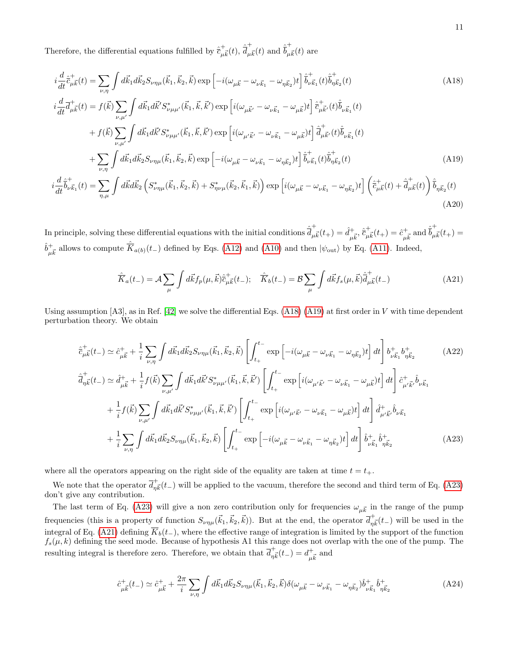Therefore, the differential equations fulfilled by  $\hat{\bar{c}}^+_{\mu\vec{k}}(t)$ ,  $\hat{\bar{d}}^+_{\mu}$  $\frac{1}{\mu \vec{k}}(t)$  and  $\hat{\vec{b}}_{\mu\nu}^+$  $_{\mu \vec{k}}(t)$  are

$$
i\frac{d}{dt}\hat{\vec{c}}_{\mu\vec{k}}^{+}(t) = \sum_{\nu,\eta} \int d\vec{k}_{1}d\vec{k}_{2}S_{\nu\eta\mu}(\vec{k}_{1},\vec{k}_{2},\vec{k}) \exp\left[-i(\omega_{\mu\vec{k}}-\omega_{\nu\vec{k}_{1}}-\omega_{\eta\vec{k}_{2}})t\right] \hat{\vec{b}}_{\nu\vec{k}_{1}}^{+}(t)\hat{\vec{b}}_{\eta\vec{k}_{2}}^{+}(t)
$$
(A18)  
\n
$$
i\frac{d}{dt}\vec{a}_{\mu\vec{k}}^{+}(t) = f(\vec{k})\sum_{\nu,\mu'} \int d\vec{k}_{1}d\vec{k}'S_{\nu\mu\mu'}^{*}(\vec{k}_{1},\vec{k},\vec{k}') \exp\left[i(\omega_{\mu\vec{k}'}-\omega_{\nu\vec{k}_{1}}-\omega_{\mu\vec{k}})t\right] \hat{\vec{c}}_{\mu\vec{k}'}^{+}(t)\hat{\vec{b}}_{\nu\vec{k}_{1}}(t)
$$
  
\n
$$
+ f(\vec{k})\sum_{\nu,\mu'} \int d\vec{k}_{1}d\vec{k}'S_{\nu\mu\mu'}^{*}(\vec{k}_{1},\vec{k},\vec{k}') \exp\left[i(\omega_{\mu'\vec{k}'}-\omega_{\nu\vec{k}_{1}}-\omega_{\mu\vec{k}})t\right] \hat{\vec{d}}_{\mu\vec{k}'}^{+}(t)\hat{\vec{b}}_{\nu\vec{k}_{1}}(t)
$$
  
\n
$$
+ \sum_{\nu,\eta} \int d\vec{k}_{1}d\vec{k}_{2}S_{\nu\eta\mu}(\vec{k}_{1},\vec{k}_{2},\vec{k}) \exp\left[-i(\omega_{\mu\vec{k}}-\omega_{\nu\vec{k}_{1}}-\omega_{\eta\vec{k}_{2}})t\right] \hat{\vec{b}}_{\nu\vec{k}_{1}}^{+}(t)\hat{\vec{b}}_{\eta\vec{k}_{2}}^{+}(t)
$$
(A19)  
\n
$$
i\frac{d}{dt}\hat{\vec{b}}_{\nu\vec{k}_{1}}^{+}(t) = \sum_{\eta,\mu} \int d\vec{k}d\vec{k}_{2}\left(S_{\nu\eta\mu}^{*}(\vec{k}_{1},\vec{k}_{2},\vec{k}) + S_{\eta\nu\mu}^{*}(\vec{k}_{2},\vec{k}_{1},\vec{k})\right) \exp\left[i(\omega_{\mu\vec{k}}-\omega
$$

In principle, solving these differential equations with the initial conditions  $\hat{\vec{a}}_{\mu}^+$  $\frac{1}{\mu \vec{k}}(t_+) = \hat{d}^+_{\mu \vec{k}}, \hat{\bar{c}}^+_{\mu \vec{k}}(t_+) = \hat{c}^+_{\mu \vec{k}} \text{ and } \hat{\bar{b}}^+_{\mu \vec{k}}$  $_{\mu \vec{k}}(t_{+}) =$  $\hat{b}^+_{\mu\vec{k}}$  allows to compute  $\hat{K}_{a(b)}(t_-)$  defined by Eqs. [\(A12\)](#page-9-1) and [\(A10\)](#page-9-3) and then  $|\psi_{\text{out}}\rangle$  by Eq. [\(A11\)](#page-9-0). Indeed,

<span id="page-10-4"></span><span id="page-10-3"></span><span id="page-10-1"></span><span id="page-10-0"></span>
$$
\hat{\overline{K}}_a(t_{-}) = \mathcal{A} \sum_{\mu} \int d\vec{k} f_p(\mu, \vec{k}) \hat{\overline{c}}^+_{\mu \vec{k}}(t_{-}); \quad \hat{\overline{K}}_b(t_{-}) = \mathcal{B} \sum_{\mu} \int d\vec{k} f_s(\mu, \vec{k}) \hat{\overline{d}}^+_{\mu \vec{k}}(t_{-})
$$
\n(A21)

Using assumption  $[A3]$ , as in Ref.  $[42]$  we solve the differential Eqs.  $(A18) (A19)$  $(A18) (A19)$  $(A18) (A19)$  at first order in V with time dependent perturbation theory. We obtain

$$
\hat{\vec{c}}_{\mu\vec{k}}^{+}(t_{-}) \simeq \hat{c}_{\mu\vec{k}}^{+} + \frac{1}{i} \sum_{\nu,\eta} \int d\vec{k}_{1} d\vec{k}_{2} S_{\nu\eta\mu}(\vec{k}_{1}, \vec{k}_{2}, \vec{k}) \left[ \int_{t_{+}}^{t_{-}} \exp\left[ -i(\omega_{\mu\vec{k}} - \omega_{\nu\vec{k}_{1}} - \omega_{\eta\vec{k}_{2}})t \right] dt \right] b_{\nu\vec{k}_{1}}^{+} b_{\eta\vec{k}_{2}}^{+} \tag{A22}
$$
\n
$$
\hat{\vec{d}}_{\eta\vec{k}}^{+}(t_{-}) \simeq \hat{d}_{\mu\vec{k}}^{+} + \frac{1}{i} f(\vec{k}) \sum_{\nu,\mu'} \int d\vec{k}_{1} d\vec{k}' S_{\nu\mu\mu'}^{*}(\vec{k}_{1}, \vec{k}, \vec{k}') \left[ \int_{t_{+}}^{t_{-}} \exp\left[ i(\omega_{\mu'\vec{k}'} - \omega_{\nu\vec{k}_{1}} - \omega_{\mu\vec{k}})t \right] dt \right] \hat{c}_{\mu'\vec{k}'}^{+} \hat{b}_{\nu\vec{k}_{1}}^{+} + \frac{1}{i} f(\vec{k}) \sum_{\nu,\mu'} \int d\vec{k}_{1} d\vec{k}' S_{\nu\mu\mu'}^{*}(\vec{k}_{1}, \vec{k}, \vec{k}') \left[ \int_{t_{+}}^{t_{-}} \exp\left[ i(\omega_{\mu'\vec{k}'} - \omega_{\nu\vec{k}_{1}} - \omega_{\mu\vec{k}})t \right] dt \right] \hat{d}_{\mu'\vec{k}'}^{+} \hat{b}_{\nu\vec{k}_{1}}^{+} + \frac{1}{i} \sum_{\nu,\eta} \int d\vec{k}_{1} d\vec{k}_{2} S_{\nu\eta\mu}(\vec{k}_{1}, \vec{k}_{2}, \vec{k}) \left[ \int_{t_{+}}^{t_{-}} \exp\left[ -i(\omega_{\mu\vec{k}} - \omega_{\nu\vec{k}_{1}} - \omega_{\eta\vec{k}_{2}})t \right] dt \right] \hat{b}_{\nu\vec{k}_{1}}^{+} \hat{b}_{\eta\vec{k}_{2}}^{+} \tag{A23}
$$

where all the operators appearing on the right side of the equality are taken at time  $t = t_{+}$ .

We note that the operator  $\overline{d}_{n\vec{k}}^+(t-)$  will be applied to the vacuum, therefore the second and third term of Eq. [\(A23\)](#page-10-2) don't give any contribution.

The last term of Eq. [\(A23\)](#page-10-2) will give a non zero contribution only for frequencies  $\omega_{\mu\vec{k}}$  in the range of the pump frequencies (this is a property of function  $S_{\nu\eta\mu}(\vec{k}_1,\vec{k}_2,\vec{k})$ ). But at the end, the operator  $\overline{d}_{\eta\vec{k}}^+(t-)$  will be used in the integral of Eq. [\(A21\)](#page-10-3) defining  $\overline{K}_b(t_{-})$ , where the effective range of integration is limited by the support of the function  $f_s(\mu, k)$  defining the seed mode. Because of hypothesis A1 this range does not overlap with the one of the pump. The resulting integral is therefore zero. Therefore, we obtain that  $\overline{d}_{\eta\vec{k}}^+(t-) = d_{\mu\vec{k}}^+$  and

<span id="page-10-2"></span>
$$
\hat{c}_{\mu\vec{k}}^{+}(t_{-}) \simeq \hat{c}_{\mu\vec{k}}^{+} + \frac{2\pi}{i} \sum_{\nu,\eta} \int d\vec{k}_{1} d\vec{k}_{2} S_{\nu\eta\mu}(\vec{k}_{1}, \vec{k}_{2}, \vec{k}) \delta(\omega_{\mu\vec{k}} - \omega_{\nu\vec{k}_{1}} - \omega_{\eta\vec{k}_{2}}) \hat{b}_{\nu\vec{k}_{1}}^{+} \hat{b}_{\eta\vec{k}_{2}}^{+} \tag{A24}
$$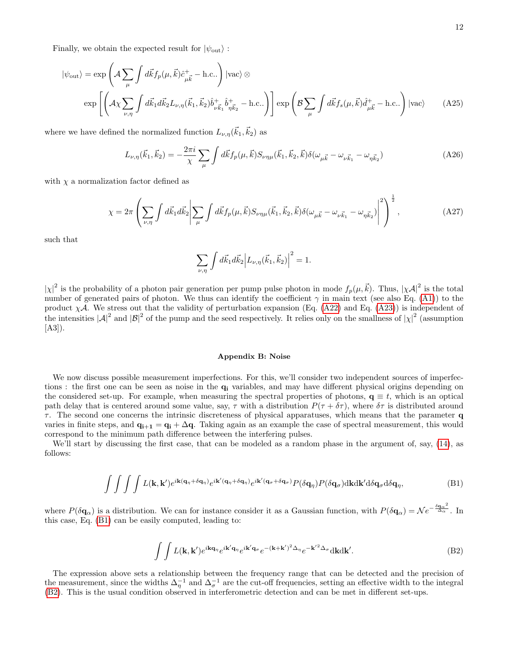Finally, we obtain the expected result for  $|\psi_{\text{out}}\rangle$ :

$$
|\psi_{\text{out}}\rangle = \exp\left(\mathcal{A}\sum_{\mu} \int d\vec{k} f_p(\mu, \vec{k}) \hat{c}^+_{\mu \vec{k}} - \text{h.c..}\right) |\text{vac}\rangle \otimes
$$
  

$$
\exp\left[\left(\mathcal{A}\chi \sum_{\nu, \eta} \int d\vec{k}_1 d\vec{k}_2 L_{\nu, \eta}(\vec{k}_1, \vec{k}_2) \hat{b}^+_{\nu \vec{k}_1} \hat{b}^+_{\eta \vec{k}_2} - \text{h.c..}\right)\right] \exp\left(\mathcal{B}\sum_{\mu} \int d\vec{k} f_s(\mu, \vec{k}) \hat{d}^+_{\mu \vec{k}} - \text{h.c..}\right) |\text{vac}\rangle \tag{A25}
$$

where we have defined the normalized function  $L_{\nu,\eta}(\vec{k}_1, \vec{k}_2)$  as

$$
L_{\nu,\eta}(\vec{k}_1, \vec{k}_2) = -\frac{2\pi i}{\chi} \sum_{\mu} \int d\vec{k} f_p(\mu, \vec{k}) S_{\nu\eta\mu}(\vec{k}_1, \vec{k}_2, \vec{k}) \delta(\omega_{\mu \vec{k}} - \omega_{\nu \vec{k}_1} - \omega_{\eta \vec{k}_2})
$$
(A26)

with  $\chi$  a normalization factor defined as

$$
\chi = 2\pi \left( \sum_{\nu,\eta} \int d\vec{k}_{1} d\vec{k}_{2} \left| \sum_{\mu} \int d\vec{k} f_{p}(\mu, \vec{k}) S_{\nu\eta\mu}(\vec{k}_{1}, \vec{k}_{2}, \vec{k}) \delta(\omega_{\mu \vec{k}} - \omega_{\nu \vec{k}_{1}} - \omega_{\eta \vec{k}_{2}}) \right|^{2} \right)^{\frac{1}{2}}, \tag{A27}
$$

such that

$$
\sum_{\nu,\eta} \int d\vec{k}_1 d\vec{k}_2 \Big| L_{\nu,\eta}(\vec{k}_1, \vec{k}_2) \Big|^2 = 1.
$$

 $|\chi|^2$  is the probability of a photon pair generation per pump pulse photon in mode  $f_p(\mu, \vec{k})$ . Thus,  $|\chi A|^2$  is the total number of generated pairs of photon. We thus can identify the coefficient  $\gamma$  in main text (see also Eq. [\(A1\)](#page-7-9)) to the product  $\chi A$ . We stress out that the validity of perturbation expansion (Eq. [\(A22\)](#page-10-4) and Eq. [\(A23\)](#page-10-2)) is independent of the intensities  $|\mathcal{A}|^2$  and  $|\mathcal{B}|^2$  of the pump and the seed respectively. It relies only on the smallness of  $|\chi|^2$  (assumption  $[A3]$ .

### Appendix B: Noise

We now discuss possible measurement imperfections. For this, we'll consider two independent sources of imperfections : the first one can be seen as noise in the  $q_i$  variables, and may have different physical origins depending on the considered set-up. For example, when measuring the spectral properties of photons,  $q \equiv t$ , which is an optical path delay that is centered around some value, say,  $\tau$  with a distribution  $P(\tau + \delta \tau)$ , where  $\delta \tau$  is distributed around  $\tau$ . The second one concerns the intrinsic discreteness of physical apparatuses, which means that the parameter q varies in finite steps, and  $\mathbf{q}_{i+1} = \mathbf{q}_i + \Delta \mathbf{q}$ . Taking again as an example the case of spectral measurement, this would correspond to the minimum path difference between the interfering pulses.

We'll start by discussing the first case, that can be modeled as a random phase in the argument of, say, [\(14\)](#page-4-2), as follows:

<span id="page-11-0"></span>
$$
\int \int \int \int L(\mathbf{k}, \mathbf{k}') e^{i\mathbf{k}(\mathbf{q}_{\eta} + \delta \mathbf{q}_{\eta})} e^{i\mathbf{k}'(\mathbf{q}_{\eta} + \delta \mathbf{q}_{\eta})} e^{i\mathbf{k}'(\mathbf{q}_{\sigma} + \delta \mathbf{q}_{\sigma})} P(\delta \mathbf{q}_{\eta}) P(\delta \mathbf{q}_{\sigma}) d\mathbf{k} d\mathbf{k}' d\delta \mathbf{q}_{\sigma} d\delta \mathbf{q}_{\eta}, \tag{B1}
$$

where  $P(\delta \mathbf{q}_{\alpha})$  is a distribution. We can for instance consider it as a Gaussian function, with  $P(\delta \mathbf{q}_{\alpha}) = N e^{-\frac{\delta \mathbf{q}_{\alpha}^2}{\Delta_{\alpha}}}$ . In this case, Eq. [\(B1\)](#page-11-0) can be easily computed, leading to:

<span id="page-11-1"></span>
$$
\int \int L(\mathbf{k}, \mathbf{k}') e^{i\mathbf{k}\mathbf{q}_\eta} e^{i\mathbf{k}'\mathbf{q}_\eta} e^{i\mathbf{k}'\mathbf{q}_\sigma} e^{-(\mathbf{k}+\mathbf{k}')^2 \Delta_\eta} e^{-\mathbf{k}'^2 \Delta_\sigma} d\mathbf{k} d\mathbf{k}'. \tag{B2}
$$

The expression above sets a relationship between the frequency range that can be detected and the precision of the measurement, since the widths  $\Delta_{\eta}^{-1}$  and  $\Delta_{\sigma}^{-1}$  are the cut-off frequencies, setting an effective width to the integral [\(B2\)](#page-11-1). This is the usual condition observed in interferometric detection and can be met in different set-ups.